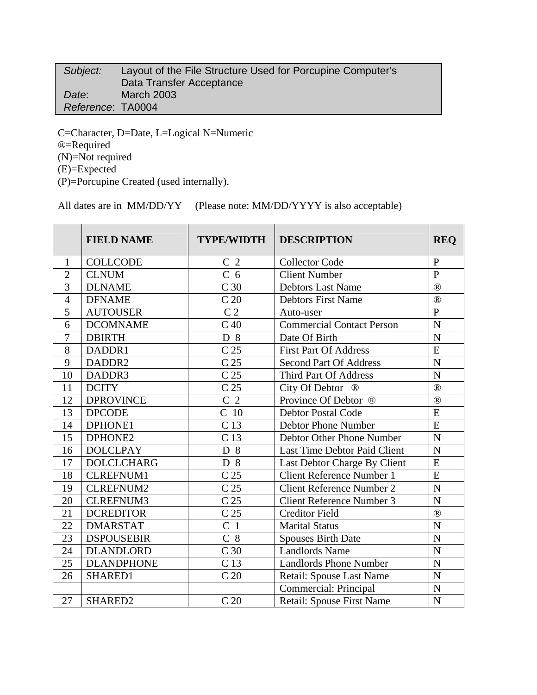| Subject:          | Layout of the File Structure Used for Porcupine Computer's |
|-------------------|------------------------------------------------------------|
|                   | Data Transfer Acceptance                                   |
| Date:             | <b>March 2003</b>                                          |
| Reference: TA0004 |                                                            |

C=Character, D=Date, L=Logical N=Numeric ®=Required (N)=Not required (E)=Expected (P)=Porcupine Created (used internally).

All dates are in MM/DD/YY (Please note: MM/DD/YYYY is also acceptable)

|                | <b>FIELD NAME</b> | <b>TYPE/WIDTH</b> | <b>DESCRIPTION</b>               | <b>REQ</b>     |
|----------------|-------------------|-------------------|----------------------------------|----------------|
| $\mathbf{1}$   | <b>COLLCODE</b>   | C <sub>2</sub>    | <b>Collector Code</b>            | $\mathbf{P}$   |
| $\overline{2}$ | <b>CLNUM</b>      | C <sub>6</sub>    | <b>Client Number</b>             | $\overline{P}$ |
| 3              | <b>DLNAME</b>     | C <sub>30</sub>   | <b>Debtors Last Name</b>         | $^{\circledR}$ |
| $\overline{4}$ | <b>DFNAME</b>     | C <sub>20</sub>   | <b>Debtors First Name</b>        | $^{\circledR}$ |
| 5              | <b>AUTOUSER</b>   | C <sub>2</sub>    | Auto-user                        | $\mathbf{P}$   |
| 6              | <b>DCOMNAME</b>   | C <sub>40</sub>   | <b>Commercial Contact Person</b> | $\overline{N}$ |
| $\overline{7}$ | <b>DBIRTH</b>     | D 8               | Date Of Birth                    | $\overline{N}$ |
| 8              | DADDR1            | C <sub>25</sub>   | <b>First Part Of Address</b>     | $\overline{E}$ |
| 9              | DADDR2            | C <sub>25</sub>   | <b>Second Part Of Address</b>    | $\overline{N}$ |
| 10             | DADDR3            | C <sub>25</sub>   | Third Part Of Address            | N              |
| 11             | <b>DCITY</b>      | C <sub>25</sub>   | City Of Debtor <sup>®</sup>      | $\circledR$    |
| 12             | <b>DPROVINCE</b>  | C <sub>2</sub>    | Province Of Debtor ®             | $^{\circledR}$ |
| 13             | <b>DPCODE</b>     | C <sub>10</sub>   | <b>Debtor Postal Code</b>        | $\overline{E}$ |
| 14             | DPHONE1           | C <sub>13</sub>   | <b>Debtor Phone Number</b>       | $\overline{E}$ |
| 15             | DPHONE2           | $\overline{C}$ 13 | Debtor Other Phone Number        | $\overline{N}$ |
| 16             | <b>DOLCLPAY</b>   | D 8               | Last Time Debtor Paid Client     | $\overline{N}$ |
| 17             | <b>DOLCLCHARG</b> | $D_8$             | Last Debtor Charge By Client     | $\overline{E}$ |
| 18             | <b>CLREFNUM1</b>  | C <sub>25</sub>   | <b>Client Reference Number 1</b> | E              |
| 19             | <b>CLREFNUM2</b>  | C <sub>25</sub>   | <b>Client Reference Number 2</b> | $\overline{N}$ |
| 20             | <b>CLREFNUM3</b>  | C <sub>25</sub>   | Client Reference Number 3        | $\overline{N}$ |
| 21             | <b>DCREDITOR</b>  | C <sub>25</sub>   | <b>Creditor Field</b>            | $^{\circledR}$ |
| 22             | <b>DMARSTAT</b>   | C <sub>1</sub>    | <b>Marital Status</b>            | $\overline{N}$ |
| 23             | <b>DSPOUSEBIR</b> | $C_8$             | <b>Spouses Birth Date</b>        | $\mathbf N$    |
| 24             | <b>DLANDLORD</b>  | C <sub>30</sub>   | <b>Landlords Name</b>            | $\mathbf N$    |
| 25             | <b>DLANDPHONE</b> | C <sub>13</sub>   | <b>Landlords Phone Number</b>    | $\mathbf N$    |
| 26             | SHARED1           | C <sub>20</sub>   | <b>Retail: Spouse Last Name</b>  | $\mathbf N$    |
|                |                   |                   | Commercial: Principal            | $\mathbf N$    |
| 27             | SHARED2           | C <sub>20</sub>   | Retail: Spouse First Name        | $\mathbf N$    |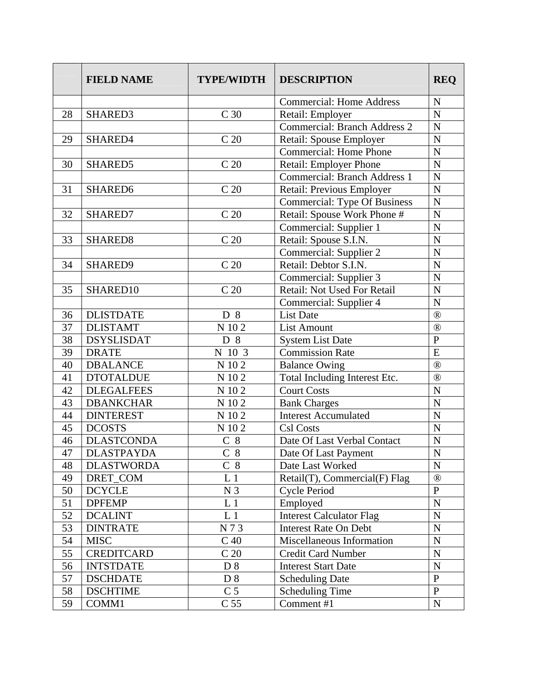|    | <b>FIELD NAME</b>   | <b>TYPE/WIDTH</b> | <b>DESCRIPTION</b>                  | <b>REQ</b>     |
|----|---------------------|-------------------|-------------------------------------|----------------|
|    |                     |                   | <b>Commercial: Home Address</b>     | $\mathbf N$    |
| 28 | SHARED3             | C 30              | Retail: Employer                    | $\mathbf N$    |
|    |                     |                   | <b>Commercial: Branch Address 2</b> | $\overline{N}$ |
| 29 | SHARED4             | C <sub>20</sub>   | Retail: Spouse Employer             | $\mathbf N$    |
|    |                     |                   | <b>Commercial: Home Phone</b>       | $\overline{N}$ |
| 30 | SHARED5             | C <sub>20</sub>   | Retail: Employer Phone              | $\mathbf N$    |
|    |                     |                   | <b>Commercial: Branch Address 1</b> | $\overline{N}$ |
| 31 | SHARED6             | C <sub>20</sub>   | Retail: Previous Employer           | $\mathbf N$    |
|    |                     |                   | <b>Commercial: Type Of Business</b> | $\mathbf N$    |
| 32 | SHARED7             | C <sub>20</sub>   | Retail: Spouse Work Phone #         | $\mathbf N$    |
|    |                     |                   | Commercial: Supplier 1              | $\overline{N}$ |
| 33 | SHARED <sub>8</sub> | C <sub>20</sub>   | Retail: Spouse S.I.N.               | $\mathbf N$    |
|    |                     |                   | Commercial: Supplier 2              | $\overline{N}$ |
| 34 | SHARED9             | C <sub>20</sub>   | Retail: Debtor S.I.N.               | $\overline{N}$ |
|    |                     |                   | Commercial: Supplier 3              | $\mathbf N$    |
| 35 | SHARED10            | C <sub>20</sub>   | Retail: Not Used For Retail         | N              |
|    |                     |                   | Commercial: Supplier 4              | $\mathbf N$    |
| 36 | <b>DLISTDATE</b>    | D 8               | <b>List Date</b>                    | $^{\circledR}$ |
| 37 | <b>DLISTAMT</b>     | N 102             | <b>List Amount</b>                  | $^{\circledR}$ |
| 38 | <b>DSYSLISDAT</b>   | D 8               | <b>System List Date</b>             | $\mathbf{P}$   |
| 39 | <b>DRATE</b>        | N 10 3            | <b>Commission Rate</b>              | E              |
| 40 | <b>DBALANCE</b>     | N 102             | <b>Balance Owing</b>                | $^{\circledR}$ |
| 41 | <b>DTOTALDUE</b>    | N 102             | Total Including Interest Etc.       | $^{\circledR}$ |
| 42 | <b>DLEGALFEES</b>   | N 102             | <b>Court Costs</b>                  | $\overline{N}$ |
| 43 | <b>DBANKCHAR</b>    | N 102             | <b>Bank Charges</b>                 | $\mathbf N$    |
| 44 | <b>DINTEREST</b>    | N 102             | <b>Interest Accumulated</b>         | $\overline{N}$ |
| 45 | <b>DCOSTS</b>       | N 102             | Csl Costs                           | $\mathbf N$    |
| 46 | <b>DLASTCONDA</b>   | $C_8$             | Date Of Last Verbal Contact         | ${\bf N}$      |
| 47 | <b>DLASTPAYDA</b>   | $C_8$             | Date Of Last Payment                | $\mathbf N$    |
| 48 | <b>DLASTWORDA</b>   | $C_8$             | Date Last Worked                    | $\mathbf N$    |
| 49 | DRET_COM            | L <sub>1</sub>    | Retail(T), Commercial(F) Flag       | $^{\circledR}$ |
| 50 | <b>DCYCLE</b>       | N <sub>3</sub>    | Cycle Period                        | ${\bf P}$      |
| 51 | <b>DPFEMP</b>       | L <sub>1</sub>    | Employed                            | ${\bf N}$      |
| 52 | <b>DCALINT</b>      | L <sub>1</sub>    | <b>Interest Calculator Flag</b>     | ${\bf N}$      |
| 53 | <b>DINTRATE</b>     | N73               | <b>Interest Rate On Debt</b>        | ${\bf N}$      |
| 54 | <b>MISC</b>         | C <sub>40</sub>   | Miscellaneous Information           | ${\bf N}$      |
| 55 | <b>CREDITCARD</b>   | C <sub>20</sub>   | <b>Credit Card Number</b>           | ${\bf N}$      |
| 56 | <b>INTSTDATE</b>    | D <sub>8</sub>    | <b>Interest Start Date</b>          | ${\bf N}$      |
| 57 | <b>DSCHDATE</b>     | D 8               | <b>Scheduling Date</b>              | $\overline{P}$ |
| 58 | <b>DSCHTIME</b>     | C <sub>5</sub>    | <b>Scheduling Time</b>              | $\mathbf{P}$   |
| 59 | COMM1               | C <sub>55</sub>   | Comment #1                          | $\mathbf N$    |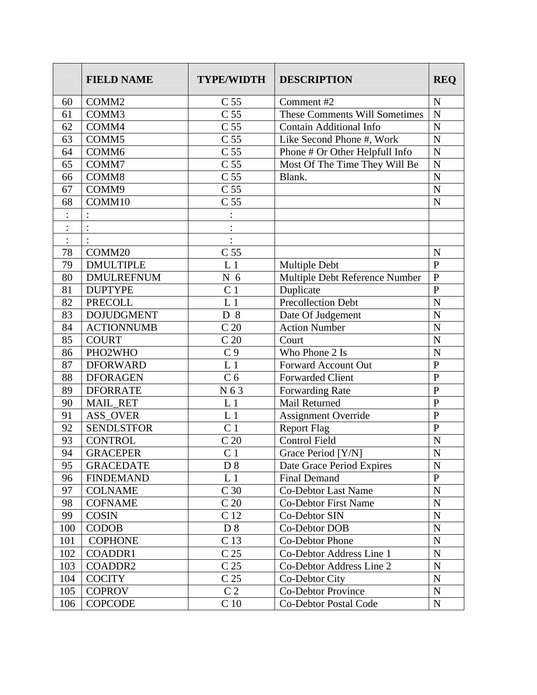|                | <b>FIELD NAME</b> | <b>TYPE/WIDTH</b> | <b>DESCRIPTION</b>                   | <b>REQ</b>         |
|----------------|-------------------|-------------------|--------------------------------------|--------------------|
| 60             | COMM2             | C <sub>55</sub>   | Comment #2                           | $\mathbf N$        |
| 61             | COMM3             | C <sub>55</sub>   | <b>These Comments Will Sometimes</b> | $\mathbf N$        |
| 62             | COMM4             | C <sub>55</sub>   | <b>Contain Additional Info</b>       | $\overline{N}$     |
| 63             | COMM <sub>5</sub> | C <sub>55</sub>   | Like Second Phone #, Work            | $\mathbf N$        |
| 64             | COMM <sub>6</sub> | C <sub>55</sub>   | Phone # Or Other Helpfull Info       | $\overline{N}$     |
| 65             | COMM7             | C <sub>55</sub>   | Most Of The Time They Will Be        | $\mathbf N$        |
| 66             | COMM8             | C <sub>55</sub>   | Blank.                               | $\mathbf N$        |
| 67             | COMM9             | C <sub>55</sub>   |                                      | $\overline{N}$     |
| 68             | COMM10            | C <sub>55</sub>   |                                      | $\mathbf N$        |
|                |                   |                   |                                      |                    |
|                |                   |                   |                                      |                    |
| $\ddot{\cdot}$ |                   |                   |                                      |                    |
| 78             | COMM20            | C <sub>55</sub>   |                                      | N                  |
| 79             | <b>DMULTIPLE</b>  | L <sub>1</sub>    | Multiple Debt                        | $\mathbf{P}$       |
| 80             | <b>DMULREFNUM</b> | N <sub>6</sub>    | Multiple Debt Reference Number       | $\mathbf{P}$       |
| 81             | <b>DUPTYPE</b>    | C <sub>1</sub>    | Duplicate                            | $\overline{P}$     |
| 82             | <b>PRECOLL</b>    | L <sub>1</sub>    | <b>Precollection Debt</b>            | $\overline{N}$     |
| 83             | <b>DOJUDGMENT</b> | D 8               | Date Of Judgement                    | $\overline{N}$     |
| 84             | <b>ACTIONNUMB</b> | C <sub>20</sub>   | <b>Action Number</b>                 | $\overline{N}$     |
| 85             | <b>COURT</b>      | C <sub>20</sub>   | Court                                | $\overline{N}$     |
| 86             | PHO2WHO           | C <sub>9</sub>    | Who Phone 2 Is                       | $\overline{\rm N}$ |
| 87             | <b>DFORWARD</b>   | L <sub>1</sub>    | Forward Account Out                  | ${\bf P}$          |
| 88             | <b>DFORAGEN</b>   | C <sub>6</sub>    | <b>Forwarded Client</b>              | $\overline{P}$     |
| 89             | <b>DFORRATE</b>   | N 63              | Forwarding Rate                      | $\overline{P}$     |
| 90             | <b>MAIL_RET</b>   | L <sub>1</sub>    | Mail Returned                        | $\mathbf{P}$       |
| 91             | <b>ASS_OVER</b>   | L <sub>1</sub>    | <b>Assignment Override</b>           | $\mathbf{P}$       |
| 92             | <b>SENDLSTFOR</b> | C <sub>1</sub>    | <b>Report Flag</b>                   | $\overline{P}$     |
| 93             | <b>CONTROL</b>    | C <sub>20</sub>   | <b>Control Field</b>                 | $\mathbf N$        |
| 94             | <b>GRACEPER</b>   | C <sub>1</sub>    | Grace Period [Y/N]                   | $\overline{N}$     |
| 95             | <b>GRACEDATE</b>  | D 8               | Date Grace Period Expires            | $\mathbf N$        |
| 96             | <b>FINDEMAND</b>  | L <sub>1</sub>    | <b>Final Demand</b>                  | $\mathbf{P}$       |
| 97             | <b>COLNAME</b>    | C <sub>30</sub>   | <b>Co-Debtor Last Name</b>           | ${\bf N}$          |
| 98             | <b>COFNAME</b>    | C <sub>20</sub>   | <b>Co-Debtor First Name</b>          | $\mathbf N$        |
| 99             | <b>COSIN</b>      | C <sub>12</sub>   | Co-Debtor SIN                        | $\mathbf N$        |
| 100            | <b>CODOB</b>      | D 8               | Co-Debtor DOB                        | $\mathbf N$        |
| 101            | <b>COPHONE</b>    | C <sub>13</sub>   | Co-Debtor Phone                      | $\mathbf N$        |
| 102            | COADDR1           | C <sub>25</sub>   | Co-Debtor Address Line 1             | ${\bf N}$          |
| 103            | COADDR2           | C <sub>25</sub>   | Co-Debtor Address Line 2             | ${\bf N}$          |
| 104            | <b>COCITY</b>     | C <sub>25</sub>   | Co-Debtor City                       | $\mathbf N$        |
| 105            | <b>COPROV</b>     | C <sub>2</sub>    | <b>Co-Debtor Province</b>            | ${\bf N}$          |
| 106            | <b>COPCODE</b>    | C <sub>10</sub>   | <b>Co-Debtor Postal Code</b>         | ${\bf N}$          |